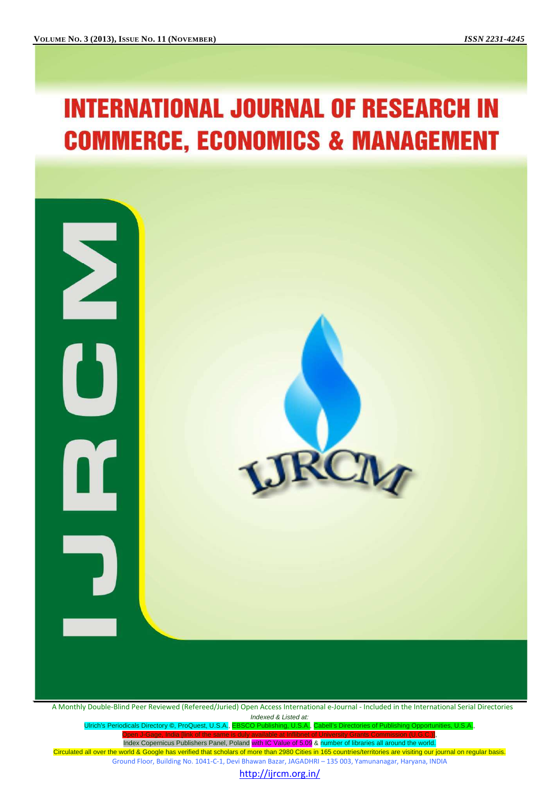# **INTERNATIONAL JOURNAL OF RESEARCH IN COMMERCE, ECONOMICS & MANAGEMENT**



 A Monthly Double-Blind Peer Reviewed (Refereed/Juried) Open Access International e-Journal - Included in the International Serial Directories Indexed & Listed at:

als Directory ©, ProQuest, U.S.A., EBSCO Publishing, U.S.A., I is duly available at Inflibnet of University Grants Commission (U.G.C.)].

Index Copernicus Publishers Panel, Poland with IC Value of 5.09 & number of libraries all around the world. Circulated all over the world & Google has verified that scholars of more than 2980 Cities in 165 countries/territories are visiting our journal on regular basis. Ground Floor, Building No. 1041-C-1, Devi Bhawan Bazar, JAGADHRI – 135 003, Yamunanagar, Haryana, INDIA

http://ijrcm.org.in/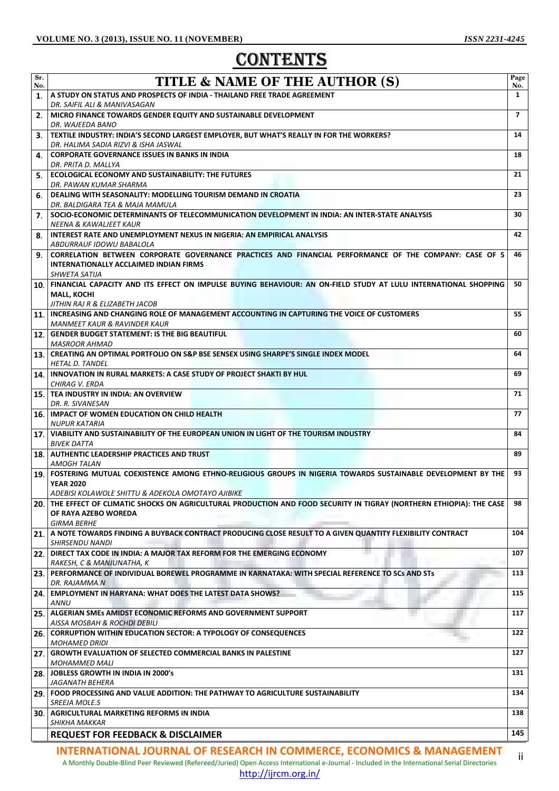ii

## **CONTENTS**

| A STUDY ON STATUS AND PROSPECTS OF INDIA - THAILAND FREE TRADE AGREEMENT<br>1.<br>DR. SAIFIL ALI & MANIVASAGAN<br>MICRO FINANCE TOWARDS GENDER EQUITY AND SUSTAINABLE DEVELOPMENT<br>2.<br>DR. WAJEEDA BANO<br>TEXTILE INDUSTRY: INDIA'S SECOND LARGEST EMPLOYER, BUT WHAT'S REALLY IN FOR THE WORKERS?<br>З.<br>DR. HALIMA SADIA RIZVI & ISHA JASWAL<br><b>CORPORATE GOVERNANCE ISSUES IN BANKS IN INDIA</b><br>4.<br>DR. PRITA D. MALLYA<br>ECOLOGICAL ECONOMY AND SUSTAINABILITY: THE FUTURES<br>5.<br>DR. PAWAN KUMAR SHARMA<br>DEALING WITH SEASONALITY: MODELLING TOURISM DEMAND IN CROATIA<br>6.<br>DR. BALDIGARA TEA & MAJA MAMULA<br>SOCIO-ECONOMIC DETERMINANTS OF TELECOMMUNICATION DEVELOPMENT IN INDIA: AN INTER-STATE ANALYSIS<br>7.<br>NEENA & KAWALJEET KAUR<br>INTEREST RATE AND UNEMPLOYMENT NEXUS IN NIGERIA: AN EMPIRICAL ANALYSIS<br>8.<br>ABDURRAUF IDOWU BABALOLA<br>CORRELATION BETWEEN CORPORATE GOVERNANCE PRACTICES AND FINANCIAL PERFORMANCE OF THE COMPANY: CASE OF 5<br>9.<br>INTERNATIONALLY ACCLAIMED INDIAN FIRMS<br><i><b>SHWETA SATIJA</b></i><br>10. FINANCIAL CAPACITY AND ITS EFFECT ON IMPULSE BUYING BEHAVIOUR: AN ON-FIELD STUDY AT LULU INTERNATIONAL SHOPPING<br><b>MALL, KOCHI</b><br>JITHIN RAJ R & ELIZABETH JACOB<br>11. INCREASING AND CHANGING ROLE OF MANAGEMENT ACCOUNTING IN CAPTURING THE VOICE OF CUSTOMERS<br><b>MANMEET KAUR &amp; RAVINDER KAUR</b><br><b>GENDER BUDGET STATEMENT: IS THE BIG BEAUTIFUL</b><br>12.1<br>MASROOR AHMAD<br><b>CREATING AN OPTIMAL PORTFOLIO ON S&amp;P BSE SENSEX USING SHARPE'S SINGLE INDEX MODEL</b><br>13. I<br><b>HETAL D. TANDEL</b><br>14. I INNOVATION IN RURAL MARKETS: A CASE STUDY OF PROJECT SHAKTI BY HUL<br>CHIRAG V. ERDA<br>15.   TEA INDUSTRY IN INDIA: AN OVERVIEW<br>DR. R. SIVANESAN<br>16.   IMPACT OF WOMEN EDUCATION ON CHILD HEALTH<br><b>NUPUR KATARIA</b><br>17. VIABILITY AND SUSTAINABILITY OF THE EUROPEAN UNION IN LIGHT OF THE TOURISM INDUSTRY<br>BIVEK DATTA<br>18. AUTHENTIC LEADERSHIP PRACTICES AND TRUST<br>AMOGH TALAN<br>19. FOSTERING MUTUAL COEXISTENCE AMONG ETHNO-RELIGIOUS GROUPS IN NIGERIA TOWARDS SUSTAINABLE DEVELOPMENT BY THE<br>93<br><b>YEAR 2020</b><br>ADEBISI KOLAWOLE SHITTU & ADEKOLA OMOTAYO AJIBIKE<br>THE EFFECT OF CLIMATIC SHOCKS ON AGRICULTURAL PRODUCTION AND FOOD SECURITY IN TIGRAY (NORTHERN ETHIOPIA): THE CASE<br>20.<br>OF RAYA AZEBO WOREDA<br><b>GIRMA BERHE</b><br>A NOTE TOWARDS FINDING A BUYBACK CONTRACT PRODUCING CLOSE RESULT TO A GIVEN QUANTITY FLEXIBILITY CONTRACT<br>21.<br><b>SHIRSENDU NANDI</b><br>DIRECT TAX CODE IN INDIA: A MAJOR TAX REFORM FOR THE EMERGING ECONOMY<br>22.1<br>RAKESH, C & MANJUNATHA, K<br>PERFORMANCE OF INDIVIDUAL BOREWEL PROGRAMME IN KARNATAKA: WITH SPECIAL REFERENCE TO SCs AND STs<br>113<br>23.<br>DR. RAJAMMA.N<br><b>EMPLOYMENT IN HARYANA: WHAT DOES THE LATEST DATA SHOWS?</b><br>24.1<br><b>ANNU</b><br>25. ALGERIAN SMEs AMIDST ECONOMIC REFORMS AND GOVERNMENT SUPPORT<br>AISSA MOSBAH & ROCHDI DEBILI<br><b>CORRUPTION WITHIN EDUCATION SECTOR: A TYPOLOGY OF CONSEQUENCES</b><br>26.<br><b>MOHAMED DRIDI</b><br><b>GROWTH EVALUATION OF SELECTED COMMERCIAL BANKS IN PALESTINE</b><br>27.<br><b>MOHAMMED MALI</b><br>28. JOBLESS GROWTH IN INDIA IN 2000's<br>JAGANATH BEHERA<br>29.   FOOD PROCESSING AND VALUE ADDITION: THE PATHWAY TO AGRICULTURE SUSTAINABILITY<br><b>SREEJA MOLE.S</b><br>30. AGRICULTURAL MARKETING REFORMS IN INDIA<br><b>SHIKHA MAKKAR</b> | Sr.<br>No. | TITLE & NAME OF THE AUTHOR (S)               | Page<br>No.    |
|-------------------------------------------------------------------------------------------------------------------------------------------------------------------------------------------------------------------------------------------------------------------------------------------------------------------------------------------------------------------------------------------------------------------------------------------------------------------------------------------------------------------------------------------------------------------------------------------------------------------------------------------------------------------------------------------------------------------------------------------------------------------------------------------------------------------------------------------------------------------------------------------------------------------------------------------------------------------------------------------------------------------------------------------------------------------------------------------------------------------------------------------------------------------------------------------------------------------------------------------------------------------------------------------------------------------------------------------------------------------------------------------------------------------------------------------------------------------------------------------------------------------------------------------------------------------------------------------------------------------------------------------------------------------------------------------------------------------------------------------------------------------------------------------------------------------------------------------------------------------------------------------------------------------------------------------------------------------------------------------------------------------------------------------------------------------------------------------------------------------------------------------------------------------------------------------------------------------------------------------------------------------------------------------------------------------------------------------------------------------------------------------------------------------------------------------------------------------------------------------------------------------------------------------------------------------------------------------------------------------------------------------------------------------------------------------------------------------------------------------------------------------------------------------------------------------------------------------------------------------------------------------------------------------------------------------------------------------------------------------------------------------------------------------------------------------------------------------------------------------------------------------------------------------------------------------------------------------------------------------------------------------------------------------------------------------------------------------------------------------------------------------------------------------------------------------------------------------------------------------|------------|----------------------------------------------|----------------|
|                                                                                                                                                                                                                                                                                                                                                                                                                                                                                                                                                                                                                                                                                                                                                                                                                                                                                                                                                                                                                                                                                                                                                                                                                                                                                                                                                                                                                                                                                                                                                                                                                                                                                                                                                                                                                                                                                                                                                                                                                                                                                                                                                                                                                                                                                                                                                                                                                                                                                                                                                                                                                                                                                                                                                                                                                                                                                                                                                                                                                                                                                                                                                                                                                                                                                                                                                                                                                                                                                           |            |                                              | $\mathbf{1}$   |
|                                                                                                                                                                                                                                                                                                                                                                                                                                                                                                                                                                                                                                                                                                                                                                                                                                                                                                                                                                                                                                                                                                                                                                                                                                                                                                                                                                                                                                                                                                                                                                                                                                                                                                                                                                                                                                                                                                                                                                                                                                                                                                                                                                                                                                                                                                                                                                                                                                                                                                                                                                                                                                                                                                                                                                                                                                                                                                                                                                                                                                                                                                                                                                                                                                                                                                                                                                                                                                                                                           |            |                                              | $\overline{7}$ |
|                                                                                                                                                                                                                                                                                                                                                                                                                                                                                                                                                                                                                                                                                                                                                                                                                                                                                                                                                                                                                                                                                                                                                                                                                                                                                                                                                                                                                                                                                                                                                                                                                                                                                                                                                                                                                                                                                                                                                                                                                                                                                                                                                                                                                                                                                                                                                                                                                                                                                                                                                                                                                                                                                                                                                                                                                                                                                                                                                                                                                                                                                                                                                                                                                                                                                                                                                                                                                                                                                           |            |                                              |                |
|                                                                                                                                                                                                                                                                                                                                                                                                                                                                                                                                                                                                                                                                                                                                                                                                                                                                                                                                                                                                                                                                                                                                                                                                                                                                                                                                                                                                                                                                                                                                                                                                                                                                                                                                                                                                                                                                                                                                                                                                                                                                                                                                                                                                                                                                                                                                                                                                                                                                                                                                                                                                                                                                                                                                                                                                                                                                                                                                                                                                                                                                                                                                                                                                                                                                                                                                                                                                                                                                                           |            |                                              | 14             |
|                                                                                                                                                                                                                                                                                                                                                                                                                                                                                                                                                                                                                                                                                                                                                                                                                                                                                                                                                                                                                                                                                                                                                                                                                                                                                                                                                                                                                                                                                                                                                                                                                                                                                                                                                                                                                                                                                                                                                                                                                                                                                                                                                                                                                                                                                                                                                                                                                                                                                                                                                                                                                                                                                                                                                                                                                                                                                                                                                                                                                                                                                                                                                                                                                                                                                                                                                                                                                                                                                           |            |                                              | 18             |
|                                                                                                                                                                                                                                                                                                                                                                                                                                                                                                                                                                                                                                                                                                                                                                                                                                                                                                                                                                                                                                                                                                                                                                                                                                                                                                                                                                                                                                                                                                                                                                                                                                                                                                                                                                                                                                                                                                                                                                                                                                                                                                                                                                                                                                                                                                                                                                                                                                                                                                                                                                                                                                                                                                                                                                                                                                                                                                                                                                                                                                                                                                                                                                                                                                                                                                                                                                                                                                                                                           |            |                                              |                |
|                                                                                                                                                                                                                                                                                                                                                                                                                                                                                                                                                                                                                                                                                                                                                                                                                                                                                                                                                                                                                                                                                                                                                                                                                                                                                                                                                                                                                                                                                                                                                                                                                                                                                                                                                                                                                                                                                                                                                                                                                                                                                                                                                                                                                                                                                                                                                                                                                                                                                                                                                                                                                                                                                                                                                                                                                                                                                                                                                                                                                                                                                                                                                                                                                                                                                                                                                                                                                                                                                           |            |                                              | 21             |
|                                                                                                                                                                                                                                                                                                                                                                                                                                                                                                                                                                                                                                                                                                                                                                                                                                                                                                                                                                                                                                                                                                                                                                                                                                                                                                                                                                                                                                                                                                                                                                                                                                                                                                                                                                                                                                                                                                                                                                                                                                                                                                                                                                                                                                                                                                                                                                                                                                                                                                                                                                                                                                                                                                                                                                                                                                                                                                                                                                                                                                                                                                                                                                                                                                                                                                                                                                                                                                                                                           |            |                                              | 23             |
|                                                                                                                                                                                                                                                                                                                                                                                                                                                                                                                                                                                                                                                                                                                                                                                                                                                                                                                                                                                                                                                                                                                                                                                                                                                                                                                                                                                                                                                                                                                                                                                                                                                                                                                                                                                                                                                                                                                                                                                                                                                                                                                                                                                                                                                                                                                                                                                                                                                                                                                                                                                                                                                                                                                                                                                                                                                                                                                                                                                                                                                                                                                                                                                                                                                                                                                                                                                                                                                                                           |            |                                              | 30             |
|                                                                                                                                                                                                                                                                                                                                                                                                                                                                                                                                                                                                                                                                                                                                                                                                                                                                                                                                                                                                                                                                                                                                                                                                                                                                                                                                                                                                                                                                                                                                                                                                                                                                                                                                                                                                                                                                                                                                                                                                                                                                                                                                                                                                                                                                                                                                                                                                                                                                                                                                                                                                                                                                                                                                                                                                                                                                                                                                                                                                                                                                                                                                                                                                                                                                                                                                                                                                                                                                                           |            |                                              |                |
|                                                                                                                                                                                                                                                                                                                                                                                                                                                                                                                                                                                                                                                                                                                                                                                                                                                                                                                                                                                                                                                                                                                                                                                                                                                                                                                                                                                                                                                                                                                                                                                                                                                                                                                                                                                                                                                                                                                                                                                                                                                                                                                                                                                                                                                                                                                                                                                                                                                                                                                                                                                                                                                                                                                                                                                                                                                                                                                                                                                                                                                                                                                                                                                                                                                                                                                                                                                                                                                                                           |            |                                              | 42             |
|                                                                                                                                                                                                                                                                                                                                                                                                                                                                                                                                                                                                                                                                                                                                                                                                                                                                                                                                                                                                                                                                                                                                                                                                                                                                                                                                                                                                                                                                                                                                                                                                                                                                                                                                                                                                                                                                                                                                                                                                                                                                                                                                                                                                                                                                                                                                                                                                                                                                                                                                                                                                                                                                                                                                                                                                                                                                                                                                                                                                                                                                                                                                                                                                                                                                                                                                                                                                                                                                                           |            |                                              | 46             |
|                                                                                                                                                                                                                                                                                                                                                                                                                                                                                                                                                                                                                                                                                                                                                                                                                                                                                                                                                                                                                                                                                                                                                                                                                                                                                                                                                                                                                                                                                                                                                                                                                                                                                                                                                                                                                                                                                                                                                                                                                                                                                                                                                                                                                                                                                                                                                                                                                                                                                                                                                                                                                                                                                                                                                                                                                                                                                                                                                                                                                                                                                                                                                                                                                                                                                                                                                                                                                                                                                           |            |                                              |                |
|                                                                                                                                                                                                                                                                                                                                                                                                                                                                                                                                                                                                                                                                                                                                                                                                                                                                                                                                                                                                                                                                                                                                                                                                                                                                                                                                                                                                                                                                                                                                                                                                                                                                                                                                                                                                                                                                                                                                                                                                                                                                                                                                                                                                                                                                                                                                                                                                                                                                                                                                                                                                                                                                                                                                                                                                                                                                                                                                                                                                                                                                                                                                                                                                                                                                                                                                                                                                                                                                                           |            |                                              | 50             |
|                                                                                                                                                                                                                                                                                                                                                                                                                                                                                                                                                                                                                                                                                                                                                                                                                                                                                                                                                                                                                                                                                                                                                                                                                                                                                                                                                                                                                                                                                                                                                                                                                                                                                                                                                                                                                                                                                                                                                                                                                                                                                                                                                                                                                                                                                                                                                                                                                                                                                                                                                                                                                                                                                                                                                                                                                                                                                                                                                                                                                                                                                                                                                                                                                                                                                                                                                                                                                                                                                           |            |                                              |                |
|                                                                                                                                                                                                                                                                                                                                                                                                                                                                                                                                                                                                                                                                                                                                                                                                                                                                                                                                                                                                                                                                                                                                                                                                                                                                                                                                                                                                                                                                                                                                                                                                                                                                                                                                                                                                                                                                                                                                                                                                                                                                                                                                                                                                                                                                                                                                                                                                                                                                                                                                                                                                                                                                                                                                                                                                                                                                                                                                                                                                                                                                                                                                                                                                                                                                                                                                                                                                                                                                                           |            |                                              | 55             |
|                                                                                                                                                                                                                                                                                                                                                                                                                                                                                                                                                                                                                                                                                                                                                                                                                                                                                                                                                                                                                                                                                                                                                                                                                                                                                                                                                                                                                                                                                                                                                                                                                                                                                                                                                                                                                                                                                                                                                                                                                                                                                                                                                                                                                                                                                                                                                                                                                                                                                                                                                                                                                                                                                                                                                                                                                                                                                                                                                                                                                                                                                                                                                                                                                                                                                                                                                                                                                                                                                           |            |                                              |                |
|                                                                                                                                                                                                                                                                                                                                                                                                                                                                                                                                                                                                                                                                                                                                                                                                                                                                                                                                                                                                                                                                                                                                                                                                                                                                                                                                                                                                                                                                                                                                                                                                                                                                                                                                                                                                                                                                                                                                                                                                                                                                                                                                                                                                                                                                                                                                                                                                                                                                                                                                                                                                                                                                                                                                                                                                                                                                                                                                                                                                                                                                                                                                                                                                                                                                                                                                                                                                                                                                                           |            |                                              | 60             |
|                                                                                                                                                                                                                                                                                                                                                                                                                                                                                                                                                                                                                                                                                                                                                                                                                                                                                                                                                                                                                                                                                                                                                                                                                                                                                                                                                                                                                                                                                                                                                                                                                                                                                                                                                                                                                                                                                                                                                                                                                                                                                                                                                                                                                                                                                                                                                                                                                                                                                                                                                                                                                                                                                                                                                                                                                                                                                                                                                                                                                                                                                                                                                                                                                                                                                                                                                                                                                                                                                           |            |                                              | 64             |
|                                                                                                                                                                                                                                                                                                                                                                                                                                                                                                                                                                                                                                                                                                                                                                                                                                                                                                                                                                                                                                                                                                                                                                                                                                                                                                                                                                                                                                                                                                                                                                                                                                                                                                                                                                                                                                                                                                                                                                                                                                                                                                                                                                                                                                                                                                                                                                                                                                                                                                                                                                                                                                                                                                                                                                                                                                                                                                                                                                                                                                                                                                                                                                                                                                                                                                                                                                                                                                                                                           |            |                                              |                |
|                                                                                                                                                                                                                                                                                                                                                                                                                                                                                                                                                                                                                                                                                                                                                                                                                                                                                                                                                                                                                                                                                                                                                                                                                                                                                                                                                                                                                                                                                                                                                                                                                                                                                                                                                                                                                                                                                                                                                                                                                                                                                                                                                                                                                                                                                                                                                                                                                                                                                                                                                                                                                                                                                                                                                                                                                                                                                                                                                                                                                                                                                                                                                                                                                                                                                                                                                                                                                                                                                           |            |                                              | 69             |
|                                                                                                                                                                                                                                                                                                                                                                                                                                                                                                                                                                                                                                                                                                                                                                                                                                                                                                                                                                                                                                                                                                                                                                                                                                                                                                                                                                                                                                                                                                                                                                                                                                                                                                                                                                                                                                                                                                                                                                                                                                                                                                                                                                                                                                                                                                                                                                                                                                                                                                                                                                                                                                                                                                                                                                                                                                                                                                                                                                                                                                                                                                                                                                                                                                                                                                                                                                                                                                                                                           |            |                                              | 71             |
|                                                                                                                                                                                                                                                                                                                                                                                                                                                                                                                                                                                                                                                                                                                                                                                                                                                                                                                                                                                                                                                                                                                                                                                                                                                                                                                                                                                                                                                                                                                                                                                                                                                                                                                                                                                                                                                                                                                                                                                                                                                                                                                                                                                                                                                                                                                                                                                                                                                                                                                                                                                                                                                                                                                                                                                                                                                                                                                                                                                                                                                                                                                                                                                                                                                                                                                                                                                                                                                                                           |            |                                              | 77             |
|                                                                                                                                                                                                                                                                                                                                                                                                                                                                                                                                                                                                                                                                                                                                                                                                                                                                                                                                                                                                                                                                                                                                                                                                                                                                                                                                                                                                                                                                                                                                                                                                                                                                                                                                                                                                                                                                                                                                                                                                                                                                                                                                                                                                                                                                                                                                                                                                                                                                                                                                                                                                                                                                                                                                                                                                                                                                                                                                                                                                                                                                                                                                                                                                                                                                                                                                                                                                                                                                                           |            |                                              |                |
|                                                                                                                                                                                                                                                                                                                                                                                                                                                                                                                                                                                                                                                                                                                                                                                                                                                                                                                                                                                                                                                                                                                                                                                                                                                                                                                                                                                                                                                                                                                                                                                                                                                                                                                                                                                                                                                                                                                                                                                                                                                                                                                                                                                                                                                                                                                                                                                                                                                                                                                                                                                                                                                                                                                                                                                                                                                                                                                                                                                                                                                                                                                                                                                                                                                                                                                                                                                                                                                                                           |            |                                              | 84             |
|                                                                                                                                                                                                                                                                                                                                                                                                                                                                                                                                                                                                                                                                                                                                                                                                                                                                                                                                                                                                                                                                                                                                                                                                                                                                                                                                                                                                                                                                                                                                                                                                                                                                                                                                                                                                                                                                                                                                                                                                                                                                                                                                                                                                                                                                                                                                                                                                                                                                                                                                                                                                                                                                                                                                                                                                                                                                                                                                                                                                                                                                                                                                                                                                                                                                                                                                                                                                                                                                                           |            |                                              | 89             |
|                                                                                                                                                                                                                                                                                                                                                                                                                                                                                                                                                                                                                                                                                                                                                                                                                                                                                                                                                                                                                                                                                                                                                                                                                                                                                                                                                                                                                                                                                                                                                                                                                                                                                                                                                                                                                                                                                                                                                                                                                                                                                                                                                                                                                                                                                                                                                                                                                                                                                                                                                                                                                                                                                                                                                                                                                                                                                                                                                                                                                                                                                                                                                                                                                                                                                                                                                                                                                                                                                           |            |                                              |                |
|                                                                                                                                                                                                                                                                                                                                                                                                                                                                                                                                                                                                                                                                                                                                                                                                                                                                                                                                                                                                                                                                                                                                                                                                                                                                                                                                                                                                                                                                                                                                                                                                                                                                                                                                                                                                                                                                                                                                                                                                                                                                                                                                                                                                                                                                                                                                                                                                                                                                                                                                                                                                                                                                                                                                                                                                                                                                                                                                                                                                                                                                                                                                                                                                                                                                                                                                                                                                                                                                                           |            |                                              |                |
|                                                                                                                                                                                                                                                                                                                                                                                                                                                                                                                                                                                                                                                                                                                                                                                                                                                                                                                                                                                                                                                                                                                                                                                                                                                                                                                                                                                                                                                                                                                                                                                                                                                                                                                                                                                                                                                                                                                                                                                                                                                                                                                                                                                                                                                                                                                                                                                                                                                                                                                                                                                                                                                                                                                                                                                                                                                                                                                                                                                                                                                                                                                                                                                                                                                                                                                                                                                                                                                                                           |            |                                              |                |
|                                                                                                                                                                                                                                                                                                                                                                                                                                                                                                                                                                                                                                                                                                                                                                                                                                                                                                                                                                                                                                                                                                                                                                                                                                                                                                                                                                                                                                                                                                                                                                                                                                                                                                                                                                                                                                                                                                                                                                                                                                                                                                                                                                                                                                                                                                                                                                                                                                                                                                                                                                                                                                                                                                                                                                                                                                                                                                                                                                                                                                                                                                                                                                                                                                                                                                                                                                                                                                                                                           |            |                                              | 98             |
|                                                                                                                                                                                                                                                                                                                                                                                                                                                                                                                                                                                                                                                                                                                                                                                                                                                                                                                                                                                                                                                                                                                                                                                                                                                                                                                                                                                                                                                                                                                                                                                                                                                                                                                                                                                                                                                                                                                                                                                                                                                                                                                                                                                                                                                                                                                                                                                                                                                                                                                                                                                                                                                                                                                                                                                                                                                                                                                                                                                                                                                                                                                                                                                                                                                                                                                                                                                                                                                                                           |            |                                              |                |
|                                                                                                                                                                                                                                                                                                                                                                                                                                                                                                                                                                                                                                                                                                                                                                                                                                                                                                                                                                                                                                                                                                                                                                                                                                                                                                                                                                                                                                                                                                                                                                                                                                                                                                                                                                                                                                                                                                                                                                                                                                                                                                                                                                                                                                                                                                                                                                                                                                                                                                                                                                                                                                                                                                                                                                                                                                                                                                                                                                                                                                                                                                                                                                                                                                                                                                                                                                                                                                                                                           |            |                                              | 104            |
|                                                                                                                                                                                                                                                                                                                                                                                                                                                                                                                                                                                                                                                                                                                                                                                                                                                                                                                                                                                                                                                                                                                                                                                                                                                                                                                                                                                                                                                                                                                                                                                                                                                                                                                                                                                                                                                                                                                                                                                                                                                                                                                                                                                                                                                                                                                                                                                                                                                                                                                                                                                                                                                                                                                                                                                                                                                                                                                                                                                                                                                                                                                                                                                                                                                                                                                                                                                                                                                                                           |            |                                              | 107            |
|                                                                                                                                                                                                                                                                                                                                                                                                                                                                                                                                                                                                                                                                                                                                                                                                                                                                                                                                                                                                                                                                                                                                                                                                                                                                                                                                                                                                                                                                                                                                                                                                                                                                                                                                                                                                                                                                                                                                                                                                                                                                                                                                                                                                                                                                                                                                                                                                                                                                                                                                                                                                                                                                                                                                                                                                                                                                                                                                                                                                                                                                                                                                                                                                                                                                                                                                                                                                                                                                                           |            |                                              |                |
|                                                                                                                                                                                                                                                                                                                                                                                                                                                                                                                                                                                                                                                                                                                                                                                                                                                                                                                                                                                                                                                                                                                                                                                                                                                                                                                                                                                                                                                                                                                                                                                                                                                                                                                                                                                                                                                                                                                                                                                                                                                                                                                                                                                                                                                                                                                                                                                                                                                                                                                                                                                                                                                                                                                                                                                                                                                                                                                                                                                                                                                                                                                                                                                                                                                                                                                                                                                                                                                                                           |            |                                              |                |
|                                                                                                                                                                                                                                                                                                                                                                                                                                                                                                                                                                                                                                                                                                                                                                                                                                                                                                                                                                                                                                                                                                                                                                                                                                                                                                                                                                                                                                                                                                                                                                                                                                                                                                                                                                                                                                                                                                                                                                                                                                                                                                                                                                                                                                                                                                                                                                                                                                                                                                                                                                                                                                                                                                                                                                                                                                                                                                                                                                                                                                                                                                                                                                                                                                                                                                                                                                                                                                                                                           |            |                                              | 115            |
|                                                                                                                                                                                                                                                                                                                                                                                                                                                                                                                                                                                                                                                                                                                                                                                                                                                                                                                                                                                                                                                                                                                                                                                                                                                                                                                                                                                                                                                                                                                                                                                                                                                                                                                                                                                                                                                                                                                                                                                                                                                                                                                                                                                                                                                                                                                                                                                                                                                                                                                                                                                                                                                                                                                                                                                                                                                                                                                                                                                                                                                                                                                                                                                                                                                                                                                                                                                                                                                                                           |            |                                              | 117            |
|                                                                                                                                                                                                                                                                                                                                                                                                                                                                                                                                                                                                                                                                                                                                                                                                                                                                                                                                                                                                                                                                                                                                                                                                                                                                                                                                                                                                                                                                                                                                                                                                                                                                                                                                                                                                                                                                                                                                                                                                                                                                                                                                                                                                                                                                                                                                                                                                                                                                                                                                                                                                                                                                                                                                                                                                                                                                                                                                                                                                                                                                                                                                                                                                                                                                                                                                                                                                                                                                                           |            |                                              |                |
|                                                                                                                                                                                                                                                                                                                                                                                                                                                                                                                                                                                                                                                                                                                                                                                                                                                                                                                                                                                                                                                                                                                                                                                                                                                                                                                                                                                                                                                                                                                                                                                                                                                                                                                                                                                                                                                                                                                                                                                                                                                                                                                                                                                                                                                                                                                                                                                                                                                                                                                                                                                                                                                                                                                                                                                                                                                                                                                                                                                                                                                                                                                                                                                                                                                                                                                                                                                                                                                                                           |            |                                              | 122            |
|                                                                                                                                                                                                                                                                                                                                                                                                                                                                                                                                                                                                                                                                                                                                                                                                                                                                                                                                                                                                                                                                                                                                                                                                                                                                                                                                                                                                                                                                                                                                                                                                                                                                                                                                                                                                                                                                                                                                                                                                                                                                                                                                                                                                                                                                                                                                                                                                                                                                                                                                                                                                                                                                                                                                                                                                                                                                                                                                                                                                                                                                                                                                                                                                                                                                                                                                                                                                                                                                                           |            |                                              | 127            |
|                                                                                                                                                                                                                                                                                                                                                                                                                                                                                                                                                                                                                                                                                                                                                                                                                                                                                                                                                                                                                                                                                                                                                                                                                                                                                                                                                                                                                                                                                                                                                                                                                                                                                                                                                                                                                                                                                                                                                                                                                                                                                                                                                                                                                                                                                                                                                                                                                                                                                                                                                                                                                                                                                                                                                                                                                                                                                                                                                                                                                                                                                                                                                                                                                                                                                                                                                                                                                                                                                           |            |                                              | 131            |
|                                                                                                                                                                                                                                                                                                                                                                                                                                                                                                                                                                                                                                                                                                                                                                                                                                                                                                                                                                                                                                                                                                                                                                                                                                                                                                                                                                                                                                                                                                                                                                                                                                                                                                                                                                                                                                                                                                                                                                                                                                                                                                                                                                                                                                                                                                                                                                                                                                                                                                                                                                                                                                                                                                                                                                                                                                                                                                                                                                                                                                                                                                                                                                                                                                                                                                                                                                                                                                                                                           |            |                                              |                |
|                                                                                                                                                                                                                                                                                                                                                                                                                                                                                                                                                                                                                                                                                                                                                                                                                                                                                                                                                                                                                                                                                                                                                                                                                                                                                                                                                                                                                                                                                                                                                                                                                                                                                                                                                                                                                                                                                                                                                                                                                                                                                                                                                                                                                                                                                                                                                                                                                                                                                                                                                                                                                                                                                                                                                                                                                                                                                                                                                                                                                                                                                                                                                                                                                                                                                                                                                                                                                                                                                           |            |                                              | 134            |
|                                                                                                                                                                                                                                                                                                                                                                                                                                                                                                                                                                                                                                                                                                                                                                                                                                                                                                                                                                                                                                                                                                                                                                                                                                                                                                                                                                                                                                                                                                                                                                                                                                                                                                                                                                                                                                                                                                                                                                                                                                                                                                                                                                                                                                                                                                                                                                                                                                                                                                                                                                                                                                                                                                                                                                                                                                                                                                                                                                                                                                                                                                                                                                                                                                                                                                                                                                                                                                                                                           |            |                                              | 138            |
|                                                                                                                                                                                                                                                                                                                                                                                                                                                                                                                                                                                                                                                                                                                                                                                                                                                                                                                                                                                                                                                                                                                                                                                                                                                                                                                                                                                                                                                                                                                                                                                                                                                                                                                                                                                                                                                                                                                                                                                                                                                                                                                                                                                                                                                                                                                                                                                                                                                                                                                                                                                                                                                                                                                                                                                                                                                                                                                                                                                                                                                                                                                                                                                                                                                                                                                                                                                                                                                                                           |            |                                              |                |
|                                                                                                                                                                                                                                                                                                                                                                                                                                                                                                                                                                                                                                                                                                                                                                                                                                                                                                                                                                                                                                                                                                                                                                                                                                                                                                                                                                                                                                                                                                                                                                                                                                                                                                                                                                                                                                                                                                                                                                                                                                                                                                                                                                                                                                                                                                                                                                                                                                                                                                                                                                                                                                                                                                                                                                                                                                                                                                                                                                                                                                                                                                                                                                                                                                                                                                                                                                                                                                                                                           |            | <b>REQUEST FOR FEEDBACK &amp; DISCLAIMER</b> | 145            |

**INTERNATIONAL JOURNAL OF RESEARCH IN COMMERCE, ECONOMICS & MANAGEMENT** A Monthly Double-Blind Peer Reviewed (Refereed/Juried) Open Access International e-Journal - Included in the International Serial Directories http://ijrcm.org.in/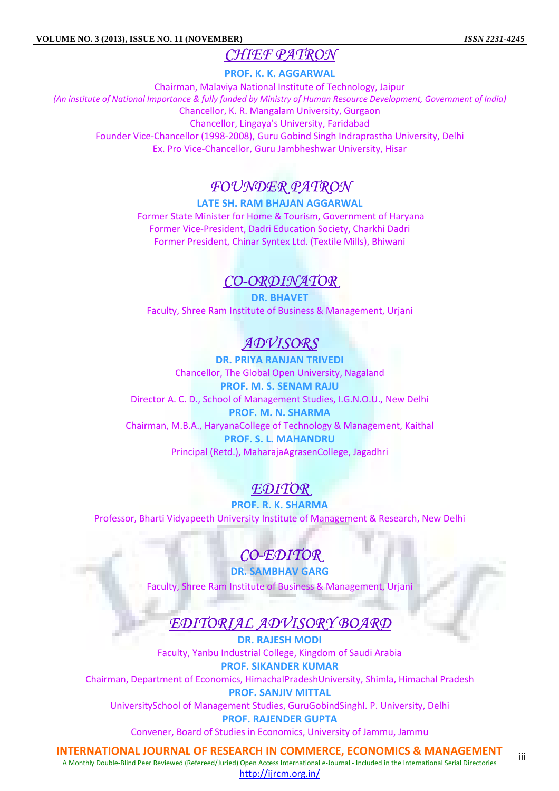### *CHIEF PATRON*

**PROF. K. K. AGGARWAL** 

Chairman, Malaviya National Institute of Technology, Jaipur *(An institute of National Importance & fully funded by Ministry of Human Resource Development, Government of India)*  Chancellor, K. R. Mangalam University, Gurgaon Chancellor, Lingaya's University, Faridabad Founder Vice-Chancellor (1998-2008), Guru Gobind Singh Indraprastha University, Delhi Ex. Pro Vice-Chancellor, Guru Jambheshwar University, Hisar



**LATE SH. RAM BHAJAN AGGARWAL** Former State Minister for Home & Tourism, Government of Haryana Former Vice-President, Dadri Education Society, Charkhi Dadri Former President, Chinar Syntex Ltd. (Textile Mills), Bhiwani

### *CO-ORDINATOR*

**DR. BHAVET**  Faculty, Shree Ram Institute of Business & Management, Urjani

### *ADVISORS*

**DR. PRIYA RANJAN TRIVEDI**  Chancellor, The Global Open University, Nagaland **PROF. M. S. SENAM RAJU**  Director A. C. D., School of Management Studies, I.G.N.O.U., New Delhi **PROF. M. N. SHARMA**  Chairman, M.B.A., HaryanaCollege of Technology & Management, Kaithal **PROF. S. L. MAHANDRU**  Principal (Retd.), MaharajaAgrasenCollege, Jagadhri

### *EDITOR*

**PROF. R. K. SHARMA**  Professor, Bharti Vidyapeeth University Institute of Management & Research, New Delhi

### *CO-EDITOR*

**DR. SAMBHAV GARG**  Faculty, Shree Ram Institute of Business & Management, Urjani

### *EDITORIAL ADVISORY BOARD*

**DR. RAJESH MODI**  Faculty, Yanbu Industrial College, Kingdom of Saudi Arabia **PROF. SIKANDER KUMAR** 

Chairman, Department of Economics, HimachalPradeshUniversity, Shimla, Himachal Pradesh

**PROF. SANJIV MITTAL** 

UniversitySchool of Management Studies, GuruGobindSinghI. P. University, Delhi

**PROF. RAJENDER GUPTA** 

Convener, Board of Studies in Economics, University of Jammu, Jammu

**INTERNATIONAL JOURNAL OF RESEARCH IN COMMERCE, ECONOMICS & MANAGEMENT**

A Monthly Double-Blind Peer Reviewed (Refereed/Juried) Open Access International e-Journal - Included in the International Serial Directories http://ijrcm.org.in/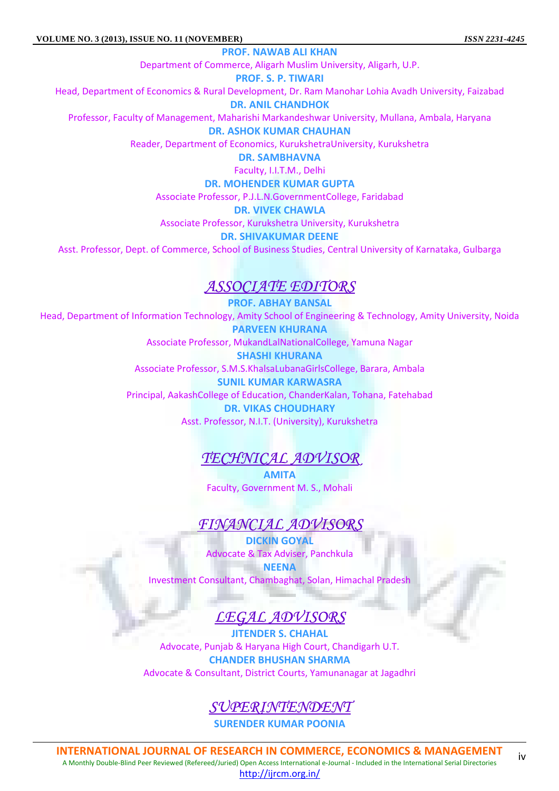**PROF. NAWAB ALI KHAN** 

Department of Commerce, Aligarh Muslim University, Aligarh, U.P.

**PROF. S. P. TIWARI** 

Head, Department of Economics & Rural Development, Dr. Ram Manohar Lohia Avadh University, Faizabad

**DR. ANIL CHANDHOK** 

Professor, Faculty of Management, Maharishi Markandeshwar University, Mullana, Ambala, Haryana

**DR. ASHOK KUMAR CHAUHAN** 

Reader, Department of Economics, KurukshetraUniversity, Kurukshetra

**DR. SAMBHAVNA** 

Faculty, I.I.T.M., Delhi

**DR. MOHENDER KUMAR GUPTA** 

Associate Professor, P.J.L.N.GovernmentCollege, Faridabad

**DR. VIVEK CHAWLA** 

Associate Professor, Kurukshetra University, Kurukshetra

**DR. SHIVAKUMAR DEENE** 

Asst. Professor, Dept. of Commerce, School of Business Studies, Central University of Karnataka, Gulbarga

### *ASSOCIATE EDITORS*

**PROF. ABHAY BANSAL**  Head, Department of Information Technology, Amity School of Engineering & Technology, Amity University, Noida **PARVEEN KHURANA**  Associate Professor, MukandLalNationalCollege, Yamuna Nagar **SHASHI KHURANA** Associate Professor, S.M.S.KhalsaLubanaGirlsCollege, Barara, Ambala **SUNIL KUMAR KARWASRA**  Principal, AakashCollege of Education, ChanderKalan, Tohana, Fatehabad **DR. VIKAS CHOUDHARY**  Asst. Professor, N.I.T. (University), Kurukshetra

### *TECHNICAL ADVISOR*

**AMITA**  Faculty, Government M. S., Mohali

### *FINANCIAL ADVISORS*

**DICKIN GOYAL**  Advocate & Tax Adviser, Panchkula **NEENA** 

Investment Consultant, Chambaghat, Solan, Himachal Pradesh

### *LEGAL ADVISORS*

**JITENDER S. CHAHAL**  Advocate, Punjab & Haryana High Court, Chandigarh U.T. **CHANDER BHUSHAN SHARMA**  Advocate & Consultant, District Courts, Yamunanagar at Jagadhri

### *SUPERINTENDENT*

**SURENDER KUMAR POONIA** 

**INTERNATIONAL JOURNAL OF RESEARCH IN COMMERCE, ECONOMICS & MANAGEMENT** A Monthly Double-Blind Peer Reviewed (Refereed/Juried) Open Access International e-Journal - Included in the International Serial Directories http://ijrcm.org.in/ iv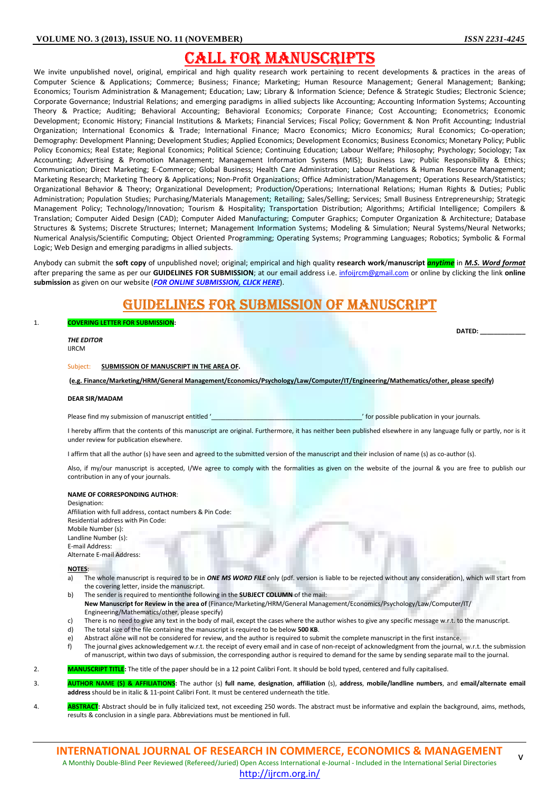### CALL FOR MANUSCRIPTS

We invite unpublished novel, original, empirical and high quality research work pertaining to recent developments & practices in the areas of Computer Science & Applications; Commerce; Business; Finance; Marketing; Human Resource Management; General Management; Banking; Economics; Tourism Administration & Management; Education; Law; Library & Information Science; Defence & Strategic Studies; Electronic Science; Corporate Governance; Industrial Relations; and emerging paradigms in allied subjects like Accounting; Accounting Information Systems; Accounting Theory & Practice; Auditing; Behavioral Accounting; Behavioral Economics; Corporate Finance; Cost Accounting; Econometrics; Economic Development; Economic History; Financial Institutions & Markets; Financial Services; Fiscal Policy; Government & Non Profit Accounting; Industrial Organization; International Economics & Trade; International Finance; Macro Economics; Micro Economics; Rural Economics; Co-operation; Demography: Development Planning; Development Studies; Applied Economics; Development Economics; Business Economics; Monetary Policy; Public Policy Economics; Real Estate; Regional Economics; Political Science; Continuing Education; Labour Welfare; Philosophy; Psychology; Sociology; Tax Accounting; Advertising & Promotion Management; Management Information Systems (MIS); Business Law; Public Responsibility & Ethics; Communication; Direct Marketing; E-Commerce; Global Business; Health Care Administration; Labour Relations & Human Resource Management; Marketing Research; Marketing Theory & Applications; Non-Profit Organizations; Office Administration/Management; Operations Research/Statistics; Organizational Behavior & Theory; Organizational Development; Production/Operations; International Relations; Human Rights & Duties; Public Administration; Population Studies; Purchasing/Materials Management; Retailing; Sales/Selling; Services; Small Business Entrepreneurship; Strategic Management Policy; Technology/Innovation; Tourism & Hospitality; Transportation Distribution; Algorithms; Artificial Intelligence; Compilers & Translation; Computer Aided Design (CAD); Computer Aided Manufacturing; Computer Graphics; Computer Organization & Architecture; Database Structures & Systems; Discrete Structures; Internet; Management Information Systems; Modeling & Simulation; Neural Systems/Neural Networks; Numerical Analysis/Scientific Computing; Object Oriented Programming; Operating Systems; Programming Languages; Robotics; Symbolic & Formal Logic; Web Design and emerging paradigms in allied subjects.

Anybody can submit the **soft copy** of unpublished novel; original; empirical and high quality **research work**/**manuscript** *anytime* in *M.S. Word format* after preparing the same as per our **GUIDELINES FOR SUBMISSION**; at our email address i.e. infoijrcm@gmail.com or online by clicking the link **online submission** as given on our website (*FOR ONLINE SUBMISSION, CLICK HERE*).

### **GUIDELINES FOR SUBMISSION OF MANUS**

#### 1. **COVERING LETTER FOR SUBMISSION:**

DATED:

*THE EDITOR*  **IIRCM** 

#### Subject: **SUBMISSION OF MANUSCRIPT IN THE AREA OF.**

 **(e.g. Finance/Marketing/HRM/General Management/Economics/Psychology/Law/Computer/IT/Engineering/Mathematics/other, please specify)** 

#### **DEAR SIR/MADAM**

Please find my submission of manuscript entitled '\_\_\_\_\_\_\_\_\_\_\_\_\_\_\_\_\_\_\_\_\_\_\_\_\_\_\_\_\_\_\_\_\_\_\_\_\_\_\_\_\_\_\_' for possible publication in your journals.

I hereby affirm that the contents of this manuscript are original. Furthermore, it has neither been published elsewhere in any language fully or partly, nor is it under review for publication elsewhere.

I affirm that all the author (s) have seen and agreed to the submitted version of the manuscript and their inclusion of name (s) as co-author (s).

Also, if my/our manuscript is accepted, I/We agree to comply with the formalities as given on the website of the journal & you are free to publish our contribution in any of your journals.

#### **NAME OF CORRESPONDING AUTHOR**:

Designation: Affiliation with full address, contact numbers & Pin Code: Residential address with Pin Code: Mobile Number (s): Landline Number (s): E-mail Address:

Alternate E-mail Address:

#### **NOTES**:

- a) The whole manuscript is required to be in *ONE MS WORD FILE* only (pdf. version is liable to be rejected without any consideration), which will start from the covering letter, inside the manuscript.
- b) The sender is required to mentionthe following in the **SUBJECT COLUMN** of the mail:
	- **New Manuscript for Review in the area of** (Finance/Marketing/HRM/General Management/Economics/Psychology/Law/Computer/IT/ Engineering/Mathematics/other, please specify)
- c) There is no need to give any text in the body of mail, except the cases where the author wishes to give any specific message w.r.t. to the manuscript. d) The total size of the file containing the manuscript is required to be below **500 KB**.
- e) Abstract alone will not be considered for review, and the author is required to submit the complete manuscript in the first instance.
- f) The journal gives acknowledgement w.r.t. the receipt of every email and in case of non-receipt of acknowledgment from the journal, w.r.t. the submission of manuscript, within two days of submission, the corresponding author is required to demand for the same by sending separate mail to the journal.
- 2. **MANUSCRIPT TITLE:** The title of the paper should be in a 12 point Calibri Font. It should be bold typed, centered and fully capitalised.
- 3. **AUTHOR NAME (S) & AFFILIATIONS:** The author (s) **full name**, **designation**, **affiliation** (s), **address**, **mobile/landline numbers**, and **email/alternate email address** should be in italic & 11-point Calibri Font. It must be centered underneath the title.
- 4. **ABSTRACT:** Abstract should be in fully italicized text, not exceeding 250 words. The abstract must be informative and explain the background, aims, methods, results & conclusion in a single para. Abbreviations must be mentioned in full.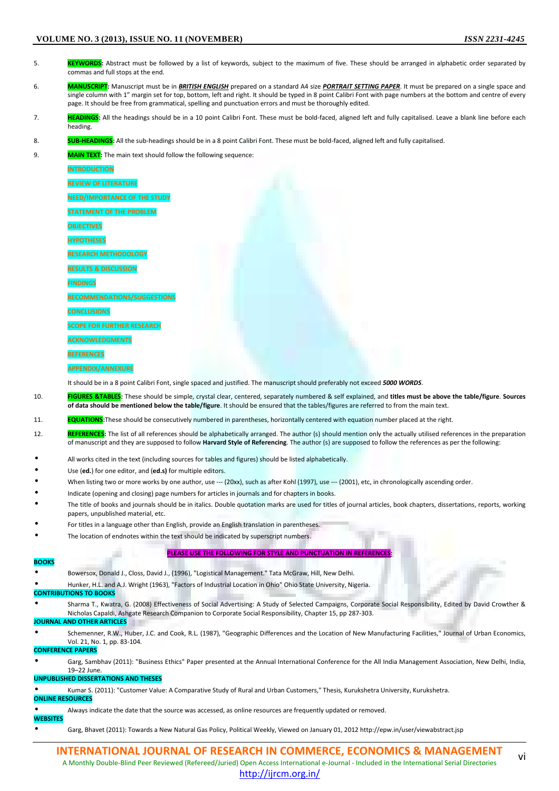- 5. KEYWORDS: Abstract must be followed by a list of keywords, subject to the maximum of five. These should be arranged in alphabetic order separated by commas and full stops at the end.
- 6. **MANUSCRIPT:** Manuscript must be in *BRITISH ENGLISH* prepared on a standard A4 size *PORTRAIT SETTING PAPER*. It must be prepared on a single space and single column with 1" margin set for top, bottom, left and right. It should be typed in 8 point Calibri Font with page numbers at the bottom and centre of every page. It should be free from grammatical, spelling and punctuation errors and must be thoroughly edited.
- 7. **HEADINGS:** All the headings should be in a 10 point Calibri Font. These must be bold-faced, aligned left and fully capitalised. Leave a blank line before each heading.
- 8. **SUB-HEADINGS:** All the sub-headings should be in a 8 point Calibri Font. These must be bold-faced, aligned left and fully capitalised.
- 9. **MAIN TEXT:** The main text should follow the following sequence:

**INTRODUCTION** 

 **REVIEW OF LITERATURE** 

 **NEED/IMPORTANCE OF THE STUDY** 

 **STATEMENT OF THE PROBLEM** 

 **OBJECTIVES** 

 **HYPOTHESES** 

 **RESEARCH METHODOLOGY** 

 **RESULTS & DISCUSSION** 

 **FINDINGS** 

 **RECOMMENDATIONS/SUGGESTIONS** 

 **CONCLUSIONS** 

 **SCOPE FOR FURTHER RESEARCH** 

 **ACKNOWLEDGMENTS** 

 **REFERENCES** 

#### **APPENDIX/ANNEXURE**

It should be in a 8 point Calibri Font, single spaced and justified. The manuscript should preferably not exceed *5000 WORDS*.

- 10. **FIGURES &TABLES:** These should be simple, crystal clear, centered, separately numbered & self explained, and **titles must be above the table/figure**. **Sources of data should be mentioned below the table/figure**. It should be ensured that the tables/figures are referred to from the main text.
- 11. **EQUATIONS:**These should be consecutively numbered in parentheses, horizontally centered with equation number placed at the right.
- 12. **REFERENCES:** The list of all references should be alphabetically arranged. The author (s) should mention only the actually utilised references in the preparation of manuscript and they are supposed to follow **Harvard Style of Referencing**. The author (s) are supposed to follow the references as per the following:
- All works cited in the text (including sources for tables and figures) should be listed alphabetically.
- Use (**ed.**) for one editor, and (**ed.s)** for multiple editors.
- When listing two or more works by one author, use --- (20xx), such as after Kohl (1997), use --- (2001), etc, in chronologically ascending order.
- Indicate (opening and closing) page numbers for articles in journals and for chapters in books.
- The title of books and journals should be in italics. Double quotation marks are used for titles of journal articles, book chapters, dissertations, reports, working papers, unpublished material, etc.
- For titles in a language other than English, provide an English translation in parentheses.
- The location of endnotes within the text should be indicated by superscript numbers.

#### **PLEASE USE THE FOLLOWING FOR STYLE AND PUNCTUATION IN REFERENCES:**

#### **BOOKS**

- Bowersox, Donald J., Closs, David J., (1996), "Logistical Management." Tata McGraw, Hill, New Delhi.
- Hunker, H.L. and A.J. Wright (1963), "Factors of Industrial Location in Ohio" Ohio State University, Nigeria.

#### **CONTRIBUTIONS TO BOOKS**

• Sharma T., Kwatra, G. (2008) Effectiveness of Social Advertising: A Study of Selected Campaigns, Corporate Social Responsibility, Edited by David Crowther & Nicholas Capaldi, Ashgate Research Companion to Corporate Social Responsibility, Chapter 15, pp 287-303.

#### **JOURNAL AND OTHER ARTICLES**

• Schemenner, R.W., Huber, J.C. and Cook, R.L. (1987), "Geographic Differences and the Location of New Manufacturing Facilities," Journal of Urban Economics, Vol. 21, No. 1, pp. 83-104.

#### **CONFERENCE PAPERS**

• Garg, Sambhav (2011): "Business Ethics" Paper presented at the Annual International Conference for the All India Management Association, New Delhi, India, 19–22 June.

#### **UNPUBLISHED DISSERTATIONS AND THESES**

• Kumar S. (2011): "Customer Value: A Comparative Study of Rural and Urban Customers," Thesis, Kurukshetra University, Kurukshetra.

### **ONLINE RESOURCES**

• Always indicate the date that the source was accessed, as online resources are frequently updated or removed.

#### **WEBSITES**

• Garg, Bhavet (2011): Towards a New Natural Gas Policy, Political Weekly, Viewed on January 01, 2012 http://epw.in/user/viewabstract.jsp

### **INTERNATIONAL JOURNAL OF RESEARCH IN COMMERCE, ECONOMICS & MANAGEMENT**

A Monthly Double-Blind Peer Reviewed (Refereed/Juried) Open Access International e-Journal - Included in the International Serial Directories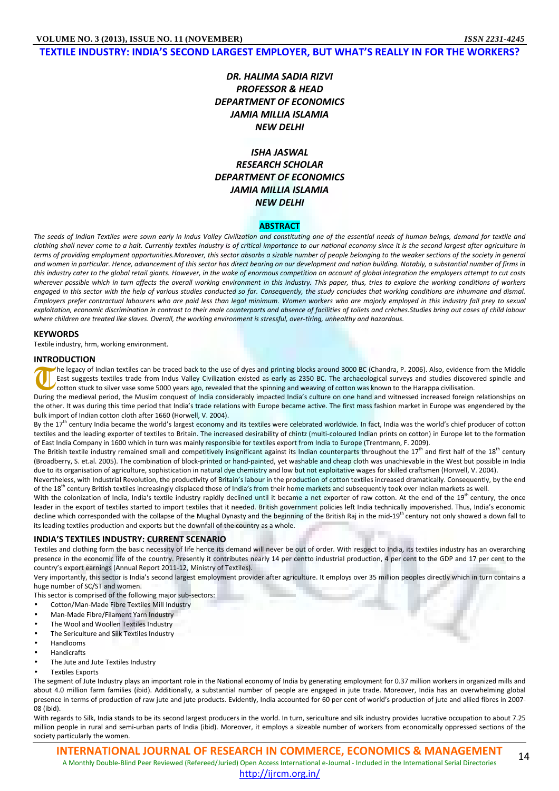#### **TEXTILE INDUSTRY: INDIA'S SECOND LARGEST EMPLOYER, BUT WHAT'S REALLY IN FOR THE WORKERS?**

#### *DR. HALIMA SADIA RIZVI PROFESSOR & HEAD DEPARTMENT OF ECONOMICS JAMIA MILLIA ISLAMIA NEW DELHI*

### *ISHA JASWAL RESEARCH SCHOLAR DEPARTMENT OF ECONOMICS JAMIA MILLIA ISLAMIA NEW DELHI*

#### **ABSTRACT**

*The seeds of Indian Textiles were sown early in Indus Valley Civilization and constituting one of the essential needs of human beings, demand for textile and clothing shall never come to a halt. Currently textiles industry is of critical importance to our national economy since it is the second largest after agriculture in terms of providing employment opportunities.Moreover, this sector absorbs a sizable number of people belonging to the weaker sections of the society in general and women in particular. Hence, advancement of this sector has direct bearing on our development and nation building. Notably, a substantial number of firms in this industry cater to the global retail giants. However, in the wake of enormous competition on account of global integration the employers attempt to cut costs wherever possible which in turn affects the overall working environment in this industry. This paper, thus, tries to explore the working conditions of workers engaged in this sector with the help of various studies conducted so far. Consequently, the study concludes that working conditions are inhumane and dismal. Employers prefer contractual labourers who are paid less than legal minimum. Women workers who are majorly employed in this industry fall prey to sexual exploitation, economic discrimination in contrast to their male counterparts and absence of facilities of toilets and crèches.Studies bring out cases of child labour where children are treated like slaves. Overall, the working environment is stressful, over-tiring, unhealthy and hazardous.* 

#### **KEYWORDS**

Textile industry, hrm, working environment.

**INTRODUCTION**<br> **The legacy of I**<br> **East suggests**<br> **Cotton stuck t** he legacy of Indian textiles can be traced back to the use of dyes and printing blocks around 3000 BC (Chandra, P. 2006). Also, evidence from the Middle East suggests textiles trade from Indus Valley Civilization existed as early as 2350 BC. The archaeological surveys and studies discovered spindle and cotton stuck to silver vase some 5000 years ago, revealed that the spinning and weaving of cotton was known to the Harappa civilisation.

During the medieval period, the Muslim conquest of India considerably impacted India's culture on one hand and witnessed increased foreign relationships on the other. It was during this time period that India's trade relations with Europe became active. The first mass fashion market in Europe was engendered by the bulk import of Indian cotton cloth after 1660 (Horwell, V. 2004).

By the 17<sup>th</sup> century India became the world's largest economy and its textiles were celebrated worldwide. In fact, India was the world's chief producer of cotton textiles and the leading exporter of textiles to Britain. The increased desirability of chintz (multi-coloured Indian prints on cotton) in Europe let to the formation of East India Company in 1600 which in turn was mainly responsible for textiles export from India to Europe (Trentmann, F. 2009).

The British textile industry remained small and competitively insignificant against its Indian counterparts throughout the  $17<sup>th</sup>$  and first half of the  $18<sup>th</sup>$  century (Broadberry, S. et.al. 2005). The combination of block-printed or hand-painted, yet washable and cheap cloth was unachievable in the West but possible in India due to its organisation of agriculture, sophistication in natural dye chemistry and low but not exploitative wages for skilled craftsmen (Horwell, V. 2004).

Nevertheless, with Industrial Revolution, the productivity of Britain's labour in the production of cotton textiles increased dramatically. Consequently, by the end of the 18<sup>th</sup> century British textiles increasingly displaced those of India's from their home markets and subsequently took over Indian markets as well.

With the colonization of India, India's textile industry rapidly declined until it became a net exporter of raw cotton. At the end of the 19<sup>th</sup> century, the once leader in the export of textiles started to import textiles that it needed. British government policies left India technically impoverished. Thus, India's economic decline which corresponded with the collapse of the Mughal Dynasty and the beginning of the British Raj in the mid-19<sup>th</sup> century not only showed a down fall to its leading textiles production and exports but the downfall of the country as a whole.

#### **INDIA'S TEXTILES INDUSTRY: CURRENT SCENARIO**

Textiles and clothing form the basic necessity of life hence its demand will never be out of order. With respect to India, its textiles industry has an overarching presence in the economic life of the country. Presently it contributes nearly 14 per centto industrial production, 4 per cent to the GDP and 17 per cent to the country's export earnings (Annual Report 2011-12, Ministry of Textiles).

Very importantly, this sector is India's second largest employment provider after agriculture. It employs over 35 million peoples directly which in turn contains a huge number of SC/ST and women.

This sector is comprised of the following major sub-sectors:

- Cotton/Man-Made Fibre Textiles Mill Industry
- Man-Made Fibre/Filament Yarn Industry
- The Wool and Woollen Textiles Industry
- The Sericulture and Silk Textiles Industry
- Handlooms
- Handicrafts
- The Jute and Jute Textiles Industry
- Textiles Exports

The segment of Jute Industry plays an important role in the National economy of India by generating employment for 0.37 million workers in organized mills and about 4.0 million farm families (ibid). Additionally, a substantial number of people are engaged in jute trade. Moreover, India has an overwhelming global presence in terms of production of raw jute and jute products. Evidently, India accounted for 60 per cent of world's production of jute and allied fibres in 2007- 08 (ibid).

With regards to Silk, India stands to be its second largest producers in the world. In turn, sericulture and silk industry provides lucrative occupation to about 7.25 million people in rural and semi-urban parts of India (ibid). Moreover, it employs a sizeable number of workers from economically oppressed sections of the society particularly the women.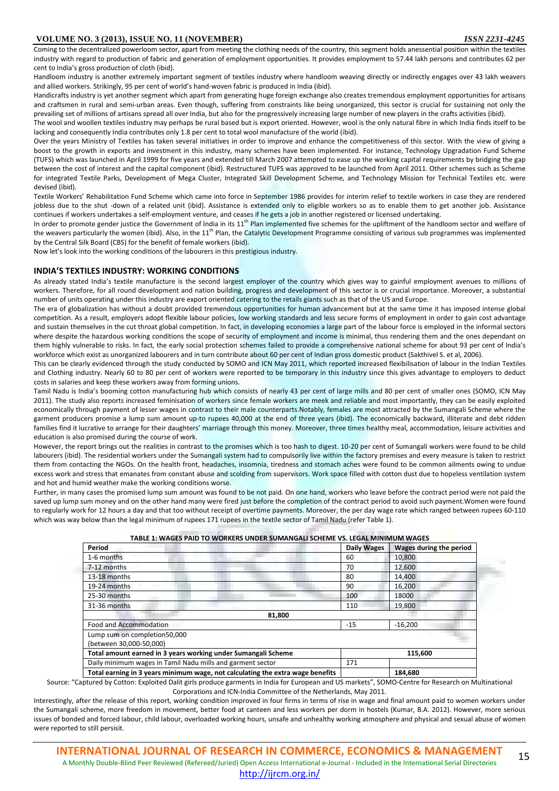#### **VOLUME NO. 3 (2013), ISSUE NO. 11 (NOVEMBER)** *ISSN 2231-4245*

u.

Coming to the decentralized powerloom sector, apart from meeting the clothing needs of the country, this segment holds anessential position within the textiles industry with regard to production of fabric and generation of employment opportunities. It provides employment to 57.44 lakh persons and contributes 62 per cent to India's gross production of cloth (ibid).

Handloom industry is another extremely important segment of textiles industry where handloom weaving directly or indirectly engages over 43 lakh weavers and allied workers. Strikingly, 95 per cent of world's hand-woven fabric is produced in India (ibid).

Handicrafts industry is yet another segment which apart from generating huge foreign exchange also creates tremendous employment opportunities for artisans and craftsmen in rural and semi-urban areas. Even though, suffering from constraints like being unorganized, this sector is crucial for sustaining not only the prevailing set of millions of artisans spread all over India, but also for the progressively increasing large number of new players in the crafts activities (ibid).

The wool and woollen textiles industry may perhaps be rural based but is export oriented. However, wool is the only natural fibre in which India finds itself to be lacking and consequently India contributes only 1.8 per cent to total wool manufacture of the world (ibid).

Over the years Ministry of Textiles has taken several initiatives in order to improve and enhance the competitiveness of this sector. With the view of giving a boost to the growth in exports and investment in this industry, many schemes have been implemented. For instance, Technology Upgradation Fund Scheme (TUFS) which was launched in April 1999 for five years and extended till March 2007 attempted to ease up the working capital requirements by bridging the gap between the cost of interest and the capital component (ibid). Restructured TUFS was approved to be launched from April 2011. Other schemes such as Scheme for integrated Textile Parks, Development of Mega Cluster, Integrated Skill Development Scheme, and Technology Mission for Technical Textiles etc. were devised (ibid).

Textile Workers' Rehabilitation Fund Scheme which came into force in September 1986 provides for interim relief to textile workers in case they are rendered jobless due to the shut -down of a related unit (ibid). Assistance is extended only to eligible workers so as to enable them to get another job. Assistance continues if workers undertakes a self-employment venture, and ceases if he gets a job in another registered or licensed undertaking.

In order to promote gender justice the Government of India in its  $11<sup>th</sup>$  Plan implemented five schemes for the upliftment of the handloom sector and welfare of the weavers particularly the women (ibid). Also, in the 11<sup>th</sup> Plan, the Catalytic Development Programme consisting of various sub programmes was implemented by the Central Silk Board (CBS) for the benefit of female workers (ibid).

Now let's look into the working conditions of the labourers in this prestigious industry.

#### **INDIA'S TEXTILES INDUSTRY: WORKING CONDITIONS**

As already stated India's textile manufacture is the second largest employer of the country which gives way to gainful employment avenues to millions of workers. Therefore, for all round development and nation building, progress and development of this sector is or crucial importance. Moreover, a substantial number of units operating under this industry are export oriented catering to the retails giants such as that of the US and Europe.

The era of globalization has without a doubt provided tremendous opportunities for human advancement but at the same time it has imposed intense global competition. As a result, employers adopt flexible labour policies, low working standards and less secure forms of employment in order to gain cost advantage and sustain themselves in the cut throat global competition. In fact, in developing economies a large part of the labour force is employed in the informal sectors where despite the hazardous working conditions the scope of security of employment and income is minimal, thus rendering them and the ones dependant on them highly vulnerable to risks. In fact, the early social protection schemes failed to provide a comprehensive national scheme for about 93 per cent of India's workforce which exist as unorganized labourers and in turn contribute about 60 per cent of Indian gross domestic product (Sakthivel S. et al, 2006).

This can be clearly evidenced through the study conducted by SOMO and ICN May 2011, which reported increased flexibilisation of labour in the Indian Textiles and Clothing industry. Nearly 60 to 80 per cent of workers were reported to be temporary in this industry since this gives advantage to employers to deduct costs in salaries and keep these workers away from forming unions.

Tamil Nadu is India's booming cotton manufacturing hub which consists of nearly 43 per cent of large mills and 80 per cent of smaller ones (SOMO, ICN May 2011). The study also reports increased feminisation of workers since female workers are meek and reliable and most importantly, they can be easily exploited economically through payment of lesser wages in contrast to their male counterparts.Notably, females are most attracted by the Sumangali Scheme where the garment producers promise a lump sum amount up-to rupees 40,000 at the end of three years (ibid). The economically backward, illiterate and debt ridden families find it lucrative to arrange for their daughters' marriage through this money. Moreover, three times healthy meal, accommodation, leisure activities and education is also promised during the course of work.

However, the report brings out the realities in contrast to the promises which is too hash to digest. 10-20 per cent of Sumangali workers were found to be child labourers (ibid). The residential workers under the Sumangali system had to compulsorily live within the factory premises and every measure is taken to restrict them from contacting the NGOs. On the health front, headaches, insomnia, tiredness and stomach aches were found to be common ailments owing to undue excess work and stress that emanates from constant abuse and scolding from supervisors. Work space filled with cotton dust due to hopeless ventilation system and hot and humid weather make the working conditions worse.

Further, in many cases the promised lump sum amount was found to be not paid. On one hand, workers who leave before the contract period were not paid the saved up lump sum money and on the other hand many were fired just before the completion of the contract period to avoid such payment. Women were found to regularly work for 12 hours a day and that too without receipt of overtime payments. Moreover, the per day wage rate which ranged between rupees 60-110 which was way below than the legal minimum of rupees 171 rupees in the textile sector of Tamil Nadu (refer Table 1).

**TABLE 1: WAGES PAID TO WORKERS UNDER SUMANGALI SCHEME VS. LEGAL MINIMUM WAGES** 

| TABLE 1: WAGES PAID TO WORKERS UNDER SUMANGALI SCHEME VS. LEGAL MINIMUM WAGES  |                    |                         |  |  |  |
|--------------------------------------------------------------------------------|--------------------|-------------------------|--|--|--|
| Period                                                                         | <b>Daily Wages</b> | Wages during the period |  |  |  |
| 1-6 months                                                                     | 60                 | 10,800                  |  |  |  |
| 7-12 months                                                                    | 70                 | 12,600                  |  |  |  |
| 13-18 months                                                                   | 80                 | 14,400                  |  |  |  |
| 19-24 months                                                                   | 90                 | 16.200                  |  |  |  |
| 25-30 months                                                                   | 100                | 18000                   |  |  |  |
| 31-36 months                                                                   | 110                | 19,800                  |  |  |  |
| 81,800                                                                         |                    |                         |  |  |  |
| Food and Accommodation                                                         | $-15$              | $-16,200$               |  |  |  |
| Lump sum on completion50,000                                                   |                    |                         |  |  |  |
| (between 30.000-50.000)                                                        |                    |                         |  |  |  |
| Total amount earned in 3 years working under Sumangali Scheme                  |                    | 115,600                 |  |  |  |
| Daily minimum wages in Tamil Nadu mills and garment sector                     | 171                |                         |  |  |  |
| Total earning in 3 years minimum wage, not calculating the extra wage benefits |                    | 184,680                 |  |  |  |

Source: "Captured by Cotton: Exploited Dalit girls produce garments in India for European and US markets", SOMO-Centre for Research on Multinational Corporations and ICN-India Committee of the Netherlands, May 2011. Interestingly, after the release of this report, working condition improved in four firms in terms of rise in wage and final amount paid to women workers under

the Sumangali scheme, more freedom in movement, better food at canteen and less workers per dorm in hostels (Kumar, B.A. 2012). However, more serious issues of bonded and forced labour, child labour, overloaded working hours, unsafe and unhealthy working atmosphere and physical and sexual abuse of women were reported to still persisit.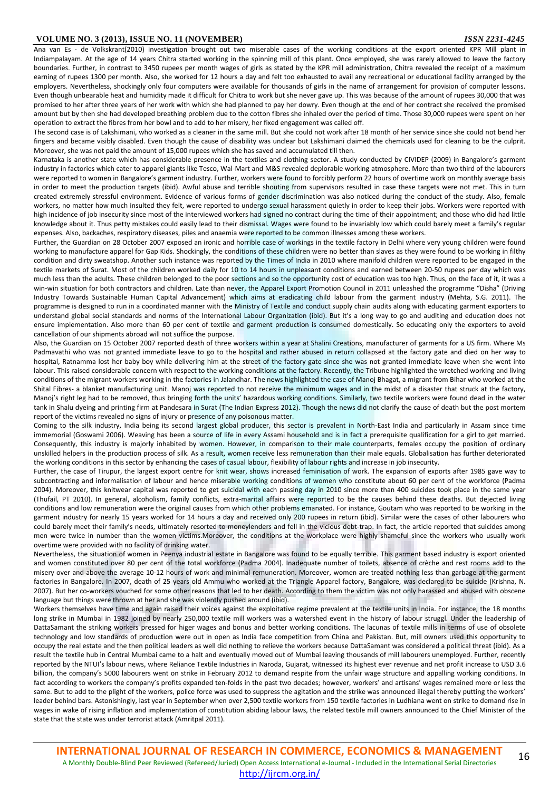#### **VOLUME NO. 3 (2013), ISSUE NO. 11 (NOVEMBER)** *ISSN 2231-4245*

Ana van Es - de Volkskrant(2010) investigation brought out two miserable cases of the working conditions at the export oriented KPR Mill plant in Indiampalayam. At the age of 14 years Chitra started working in the spinning mill of this plant. Once employed, she was rarely allowed to leave the factory boundaries. Further, in contrast to 3450 rupees per month wages of girls as stated by the KPR mill administration, Chitra revealed the receipt of a maximum earning of rupees 1300 per month. Also, she worked for 12 hours a day and felt too exhausted to avail any recreational or educational facility arranged by the employers. Nevertheless, shockingly only four computers were available for thousands of girls in the name of arrangement for provision of computer lessons. Even though unbearable heat and humidity made it difficult for Chitra to work but she never gave up. This was because of the amount of rupees 30,000 that was promised to her after three years of her work with which she had planned to pay her dowry. Even though at the end of her contract she received the promised amount but by then she had developed breathing problem due to the cotton fibres she inhaled over the period of time. Those 30,000 rupees were spent on her operation to extract the fibres from her bowl and to add to her misery, her fixed engagement was called off.

The second case is of Lakshimani, who worked as a cleaner in the same mill. But she could not work after 18 month of her service since she could not bend her fingers and became visibly disabled. Even though the cause of disability was unclear but Lakshimani claimed the chemicals used for cleaning to be the culprit. Moreover, she was not paid the amount of 15,000 rupees which she has saved and accumulated till then.

Karnataka is another state which has considerable presence in the textiles and clothing sector. A study conducted by CIVIDEP (2009) in Bangalore's garment industry in factories which cater to apparel giants like Tesco, Wal-Mart and M&S revealed deplorable working atmosphere. More than two third of the labourers were reported to women in Bangalore's garment industry. Further, workers were found to forcibly perform 22 hours of overtime work on monthly average basis in order to meet the production targets (ibid). Awful abuse and terrible shouting from supervisors resulted in case these targets were not met. This in turn created extremely stressful environment. Evidence of various forms of gender discrimination was also noticed during the conduct of the study. Also, female workers, no matter how much insulted they felt, were reported to undergo sexual harassment quietly in order to keep their jobs. Workers were reported with high incidence of job insecurity since most of the interviewed workers had signed no contract during the time of their appointment; and those who did had little knowledge about it. Thus petty mistakes could easily lead to their dismissal. Wages were found to be invariably low which could barely meet a family's regular expenses. Also, backaches, respiratory diseases, piles and anaemia were reported to be common illnesses among these workers.

Further, the Guardian on 28 October 2007 exposed an ironic and horrible case of workings in the textile factory in Delhi where very young children were found working to manufacture apparel for Gap Kids. Shockingly, the conditions of these children were no better than slaves as they were found to be working in filthy condition and dirty sweatshop. Another such instance was reported by the Times of India in 2010 where manifold children were reported to be engaged in the textile markets of Surat. Most of the children worked daily for 10 to 14 hours in unpleasant conditions and earned between 20-50 rupees per day which was much less than the adults. These children belonged to the poor sections and so the opportunity cost of education was too high. Thus, on the face of it, it was a win-win situation for both contractors and children. Late than never, the Apparel Export Promotion Council in 2011 unleashed the programme "Disha" (Driving Industry Towards Sustainable Human Capital Advancement) which aims at eradicating child labour from the garment industry (Mehta, S.G. 2011). The programme is designed to run in a coordinated manner with the Ministry of Textile and conduct supply chain audits along with educating garment exporters to understand global social standards and norms of the International Labour Organization (ibid). But it's a long way to go and auditing and education does not ensure implementation. Also more than 60 per cent of textile and garment production is consumed domestically. So educating only the exporters to avoid cancellation of our shipments abroad will not suffice the purpose.

Also, the Guardian on 15 October 2007 reported death of three workers within a year at Shalini Creations, manufacturer of garments for a US firm. Where Ms Padmavathi who was not granted immediate leave to go to the hospital and rather abused in return collapsed at the factory gate and died on her way to hospital, Ratnamma lost her baby boy while delivering him at the street of the factory gate since she was not granted immediate leave when she went into labour. This raised considerable concern with respect to the working conditions at the factory. Recently, the Tribune highlighted the wretched working and living conditions of the migrant workers working in the factories in Jalandhar. The news highlighted the case of Manoj Bhagat, a migrant from Bihar who worked at the Shital Fibres- a blanket manufacturing unit. Manoj was reported to not receive the minimum wages and in the midst of a disaster that struck at the factory, Manoj's right leg had to be removed, thus bringing forth the units' hazardous working conditions. Similarly, two textile workers were found dead in the water tank in Shalu dyeing and printing firm at Pandesara in Surat (The Indian Express 2012). Though the news did not clarify the cause of death but the post mortem report of the victims revealed no signs of injury or presence of any poisonous matter.

Coming to the silk industry, India being its second largest global producer, this sector is prevalent in North-East India and particularly in Assam since time immemorial (Goswami 2006). Weaving has been a source of life in every Assami household and is in fact a prerequisite qualification for a girl to get married. Consequently, this industry is majorly inhabited by women. However, in comparison to their male counterparts, females occupy the position of ordinary unskilled helpers in the production process of silk. As a result, women receive less remuneration than their male equals. Globalisation has further deteriorated the working conditions in this sector by enhancing the cases of casual labour, flexibility of labour rights and increase in job insecurity.

Further, the case of Tirupur, the largest export centre for knit wear, shows increased feminisation of work. The expansion of exports after 1985 gave way to subcontracting and informalisation of labour and hence miserable working conditions of women who constitute about 60 per cent of the workforce (Padma 2004). Moreover, this knitwear capital was reported to get suicidal with each passing day in 2010 since more than 400 suicides took place in the same year (Thufail, PT 2010). In general, alcoholism, family conflicts, extra-marital affairs were reported to be the causes behind these deaths. But dejected living conditions and low remuneration were the original causes from which other problems emanated. For instance, Goutam who was reported to be working in the garment industry for nearly 15 years worked for 14 hours a day and received only 200 rupees in return (ibid). Similar were the cases of other labourers who could barely meet their family's needs, ultimately resorted to moneylenders and fell in the vicious debt-trap. In fact, the article reported that suicides among men were twice in number than the women victims.Moreover, the conditions at the workplace were highly shameful since the workers who usually work overtime were provided with no facility of drinking water.

Nevertheless, the situation of women in Peenya industrial estate in Bangalore was found to be equally terrible. This garment based industry is export oriented and women constituted over 80 per cent of the total workforce (Padma 2004). Inadequate number of toilets, absence of crèche and rest rooms add to the misery over and above the average 10-12 hours of work and minimal remuneration. Moreover, women are treated nothing less than garbage at the garment factories in Bangalore. In 2007, death of 25 years old Ammu who worked at the Triangle Apparel factory, Bangalore, was declared to be suicide (Krishna, N. 2007). But her co-workers vouched for some other reasons that led to her death. According to them the victim was not only harassed and abused with obscene language but things were thrown at her and she was violently pushed around (ibid).

Workers themselves have time and again raised their voices against the exploitative regime prevalent at the textile units in India. For instance, the 18 months long strike in Mumbai in 1982 joined by nearly 250,000 textile mill workers was a watershed event in the history of labour struggl. Under the leadership of DattaSamant the striking workers pressed for higer wages and bonus and better working conditions. The lacunas of textile mills in terms of use of obsolete technology and low standards of production were out in open as India face competition from China and Pakistan. But, mill owners used this opportunity to occupy the real estate and the then political leaders as well did nothing to relieve the workers because DattaSamant was considered a political threat (ibid). As a result the textile hub in Central Mumbai came to a halt and eventually moved out of Mumbai leaving thousands of mill labourers unemployed. Further, recently reported by the NTUI's labour news, where Reliance Textile Industries in Naroda, Gujarat, witnessed its highest ever revenue and net profit increase to USD 3.6 billion, the company's 5000 labourers went on strike in February 2012 to demand respite from the unfair wage structure and appalling working conditions. In fact according to workers the company's profits expanded ten-folds in the past two decades; however, workers' and artisans' wages remained more or less the same. But to add to the plight of the workers, police force was used to suppress the agitation and the strike was announced illegal thereby putting the workers' leader behind bars. Astonishingly, last year in September when over 2,500 textile workers from 150 textile factories in Ludhiana went on strike to demand rise in wages in wake of rising inflation and implementation of constitution abiding labour laws, the related textile mill owners announced to the Chief Minister of the state that the state was under terrorist attack (Amritpal 2011).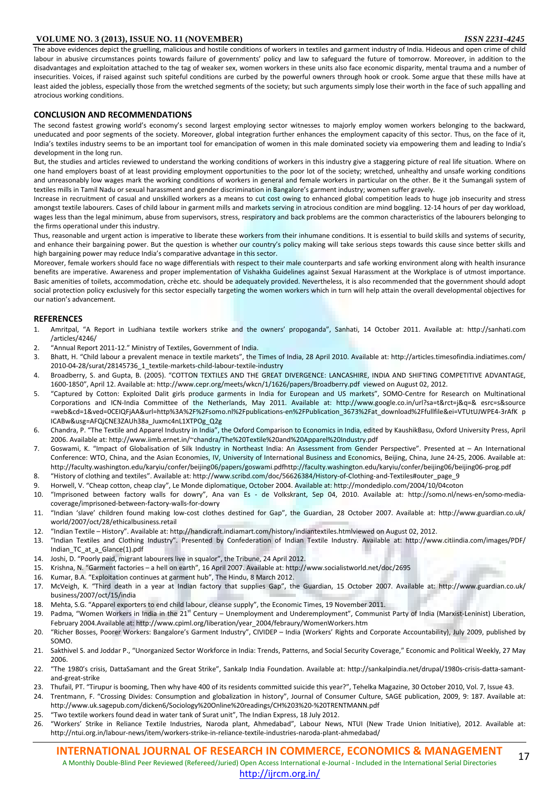#### **VOLUME NO. 3 (2013), ISSUE NO. 11 (NOVEMBER)** *ISSN 2231-4245*

The above evidences depict the gruelling, malicious and hostile conditions of workers in textiles and garment industry of India. Hideous and open crime of child labour in abusive circumstances points towards failure of governments' policy and law to safeguard the future of tomorrow. Moreover, in addition to the disadvantages and exploitation attached to the tag of weaker sex, women workers in these units also face economic disparity, mental trauma and a number of insecurities. Voices, if raised against such spiteful conditions are curbed by the powerful owners through hook or crook. Some argue that these mills have at least aided the jobless, especially those from the wretched segments of the society; but such arguments simply lose their worth in the face of such appalling and atrocious working conditions.

#### **CONCLUSION AND RECOMMENDATIONS**

The second fastest growing world's economy's second largest employing sector witnesses to majorly employ women workers belonging to the backward, uneducated and poor segments of the society. Moreover, global integration further enhances the employment capacity of this sector. Thus, on the face of it, India's textiles industry seems to be an important tool for emancipation of women in this male dominated society via empowering them and leading to India's development in the long run.

But, the studies and articles reviewed to understand the working conditions of workers in this industry give a staggering picture of real life situation. Where on one hand employers boast of at least providing employment opportunities to the poor lot of the society; wretched, unhealthy and unsafe working conditions and unreasonably low wages mark the working conditions of workers in general and female workers in particular on the other. Be it the Sumangali system of textiles mills in Tamil Nadu or sexual harassment and gender discrimination in Bangalore's garment industry; women suffer gravely.

Increase in recruitment of casual and unskilled workers as a means to cut cost owing to enhanced global competition leads to huge job insecurity and stress amongst textile labourers. Cases of child labour in garment mills and markets serving in atrocious condition are mind boggling. 12-14 hours of per day workload, wages less than the legal minimum, abuse from supervisors, stress, respiratory and back problems are the common characteristics of the labourers belonging to the firms operational under this industry.

Thus, reasonable and urgent action is imperative to liberate these workers from their inhumane conditions. It is essential to build skills and systems of security, and enhance their bargaining power. But the question is whether our country's policy making will take serious steps towards this cause since better skills and high bargaining power may reduce India's comparative advantage in this sector.

Moreover, female workers should face no wage differentials with respect to their male counterparts and safe working environment along with health insurance benefits are imperative. Awareness and proper implementation of Vishakha Guidelines against Sexual Harassment at the Workplace is of utmost importance. Basic amenities of toilets, accommodation, crèche etc. should be adequately provided. Nevertheless, it is also recommended that the government should adopt social protection policy exclusively for this sector especially targeting the women workers which in turn will help attain the overall developmental objectives for our nation's advancement.

#### **REFERENCES**

- 1. Amritpal, "A Report in Ludhiana textile workers strike and the owners' propoganda", Sanhati, 14 October 2011. Available at: http://sanhati.com /articles/4246/
- 2. "Annual Report 2011-12." Ministry of Textiles, Government of India.
- 3. Bhatt, H. "Child labour a prevalent menace in textile markets", the Times of India, 28 April 2010. Available at: http://articles.timesofindia.indiatimes.com/ 2010-04-28/surat/28145736\_1\_textile-markets-child-labour-textile-industry
- 4. Broadberry, S. and Gupta, B. (2005). "COTTON TEXTILES AND THE GREAT DIVERGENCE: LANCASHIRE, INDIA AND SHIFTING COMPETITIVE ADVANTAGE, 1600-1850", April 12. Available at: http://www.cepr.org/meets/wkcn/1/1626/papers/Broadberry.pdf viewed on August 02, 2012.
- 5. "Captured by Cotton: Exploited Dalit girls produce garments in India for European and US markets", SOMO-Centre for Research on Multinational Corporations and ICN-India Committee of the Netherlands, May 2011. Available at: http://www.google.co.in/url?sa=t&rct=j&q=& esrc=s&source =web&cd=1&ved=0CEIQFjAA&url=http%3A%2F%2Fsomo.nl%2Fpublications-en%2FPublication\_3673%2Fat\_download%2Ffullfile&ei=VTUtUJWPE4-3rAfK p ICABw&usg=AFQjCNE3ZAUh38a\_Juxmc4nL1XTPOg\_Q2g
- 6. Chandra, P. "The Textile and Apparel Industry in India", the Oxford Comparison to Economics in India, edited by KaushikBasu, Oxford University Press, April 2006. Available at: http://www.iimb.ernet.in/~chandra/The%20Textile%20and%20Apparel%20Industry.pdf
- 7. Goswami, K. "Impact of Globalisation of Silk Industry in Northeast India: An Assessment from Gender Perspective". Presented at An International Conference: WTO, China, and the Asian Economies, IV, University of International Business and Economics, Beijing, China, June 24-25, 2006. Available at: http://faculty.washington.edu/karyiu/confer/beijing06/papers/goswami.pdfhttp://faculty.washington.edu/karyiu/confer/beijing06/beijing06-prog.pdf
- 8. "History of clothing and textiles". Available at: http://www.scribd.com/doc/56626384/History-of-Clothing-and-Textiles#outer\_page\_9
- 9. Horwell, V. "Cheap cotton, cheap clay", Le Monde diplomatique, October 2004. Available at: http://mondediplo.com/2004/10/04coton
- 10. "Imprisoned between factory walls for dowry", Ana van Es de Volkskrant, Sep 04, 2010. Available at: http://somo.nl/news-en/somo-mediacoverage/imprisoned-between-factory-walls-for-dowry
- 11. "Indian 'slave' children found making low-cost clothes destined for Gap", the Guardian, 28 October 2007. Available at: http://www.guardian.co.uk/ world/2007/oct/28/ethicalbusiness.retail
- 12. "Indian Textile History". Available at: http://handicraft.indiamart.com/history/indiantextiles.htmlviewed on August 02, 2012.
- 13. "Indian Textiles and Clothing Industry". Presented by Confederation of Indian Textile Industry. Available at: http://www.citiindia.com/images/PDF/ Indian\_TC\_at\_a\_Glance(1).pdf
- 14. Joshi, D. "Poorly paid, migrant labourers live in squalor", the Tribune, 24 April 2012.
- 15. Krishna, N. "Garment factories a hell on earth", 16 April 2007. Available at: http://www.socialistworld.net/doc/2695
- 16. Kumar, B.A. "Exploitation continues at garment hub", The Hindu, 8 March 2012.
- 17. McVeigh, K. "Third death in a year at Indian factory that supplies Gap", the Guardian, 15 October 2007. Available at: http://www.guardian.co.uk/ business/2007/oct/15/india
- 18. Mehta, S.G. "Apparel exporters to end child labour, cleanse supply", the Economic Times, 19 November 2011.
- 19. Padma, "Women Workers in India in the 21<sup>st</sup> Century Unemployment and Underemployment", Communist Party of India (Marxist-Leninist) Liberation, February 2004.Available at: http://www.cpiml.org/liberation/year\_2004/febraury/WomenWorkers.htm
- 20. "Richer Bosses, Poorer Workers: Bangalore's Garment Industry", CIVIDEP India (Workers' Rights and Corporate Accountability), July 2009, published by SOMO.
- 21. Sakthivel S. and Joddar P., "Unorganized Sector Workforce in India: Trends, Patterns, and Social Security Coverage," Economic and Political Weekly, 27 May 2006.
- 22. "The 1980's crisis, DattaSamant and the Great Strike", Sankalp India Foundation. Available at: http://sankalpindia.net/drupal/1980s-crisis-datta-samantand-great-strike
- 23. Thufail, PT. "Tirupur is booming, Then why have 400 of its residents committed suicide this year?", Tehelka Magazine, 30 October 2010, Vol. 7, Issue 43.
- 24. Trentmann, F. "Crossing Divides: Consumption and globalization in history", Journal of Consumer Culture, SAGE publication, 2009, 9: 187. Available at: http://www.uk.sagepub.com/dicken6/Sociology%20Online%20readings/CH%203%20-%20TRENTMANN.pdf
- 25. "Two textile workers found dead in water tank of Surat unit", The Indian Express, 18 July 2012.
- 26. "Workers' Strike in Reliance Textile Industries, Naroda plant, Ahmedabad", Labour News, NTUI (New Trade Union Initiative), 2012. Available at: http://ntui.org.in/labour-news/item/workers-strike-in-reliance-textile-industries-naroda-plant-ahmedabad/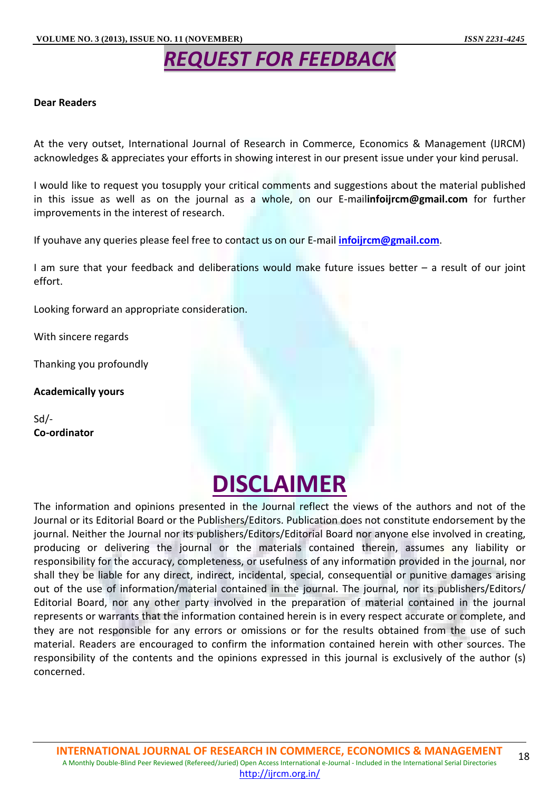# *REQUEST FOR FEEDBACK*

#### **Dear Readers**

At the very outset, International Journal of Research in Commerce, Economics & Management (IJRCM) acknowledges & appreciates your efforts in showing interest in our present issue under your kind perusal.

I would like to request you tosupply your critical comments and suggestions about the material published in this issue as well as on the journal as a whole, on our E-mail**infoijrcm@gmail.com** for further improvements in the interest of research.

If youhave any queries please feel free to contact us on our E-mail **infoijrcm@gmail.com**.

I am sure that your feedback and deliberations would make future issues better – a result of our joint effort.

Looking forward an appropriate consideration.

With sincere regards

Thanking you profoundly

**Academically yours** 

Sd/- **Co-ordinator**

# **DISCLAIMER**

The information and opinions presented in the Journal reflect the views of the authors and not of the Journal or its Editorial Board or the Publishers/Editors. Publication does not constitute endorsement by the journal. Neither the Journal nor its publishers/Editors/Editorial Board nor anyone else involved in creating, producing or delivering the journal or the materials contained therein, assumes any liability or responsibility for the accuracy, completeness, or usefulness of any information provided in the journal, nor shall they be liable for any direct, indirect, incidental, special, consequential or punitive damages arising out of the use of information/material contained in the journal. The journal, nor its publishers/Editors/ Editorial Board, nor any other party involved in the preparation of material contained in the journal represents or warrants that the information contained herein is in every respect accurate or complete, and they are not responsible for any errors or omissions or for the results obtained from the use of such material. Readers are encouraged to confirm the information contained herein with other sources. The responsibility of the contents and the opinions expressed in this journal is exclusively of the author (s) concerned.